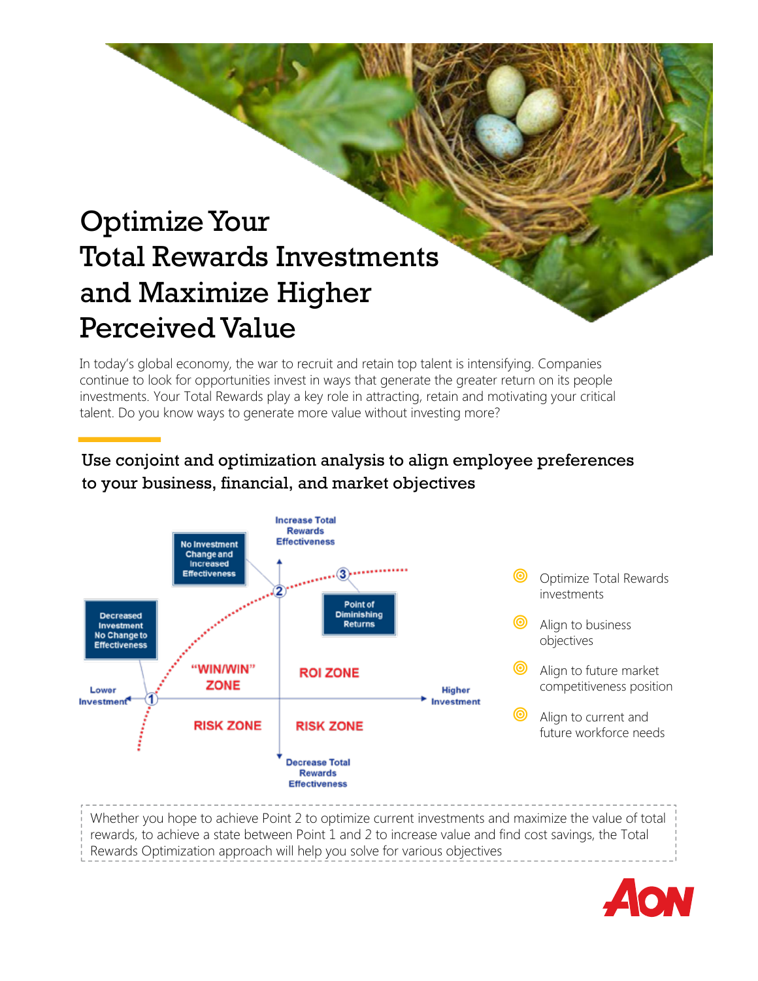# Optimize Your Total Rewards Investments and Maximize Higher Perceived Value

In today's global economy, the war to recruit and retain top talent is intensifying. Companies continue to look for opportunities invest in ways that generate the greater return on its people investments. Your Total Rewards play a key role in attracting, retain and motivating your critical talent. Do you know ways to generate more value without investing more?

# Use conjoint and optimization analysis to align employee preferences to your business, financial, and market objectives



Rewards Optimization approach will help you solve for various objectives

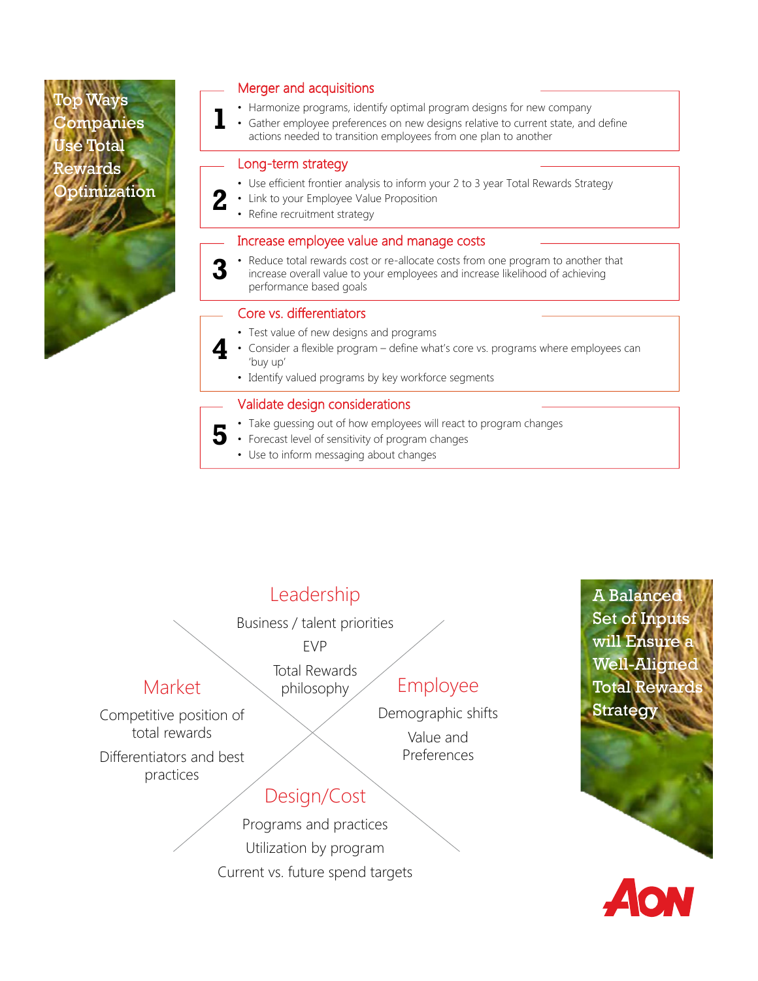Ways ompanies Jse Total wards:  $otimization$ 

## Merger and acquisitions

- Harmonize programs, identify optimal program designs for new company
- Gather employee preferences on new designs relative to current state, and define actions needed to transition employees from one plan to another **1**

## Long-term strategy

- Use efficient frontier analysis to inform your 2 to 3 year Total Rewards Strategy
- Link to your Employee Value Proposition
- Refine recruitment strategy **2**

## Increase employee value and manage costs

- Reduce total rewards cost or re-allocate costs from one program to another that **3**
	- increase overall value to your employees and increase likelihood of achieving performance based goals

## Core vs. differentiators

- Test value of new designs and programs
- Consider a flexible program define what's core vs. programs where employees can 'buy up' **4**
	- Identify valued programs by key workforce segments

## Validate design considerations

- Take guessing out of how employees will react to program changes
- Forecast level of sensitivity of program changes **5**
	- Use to inform messaging about changes

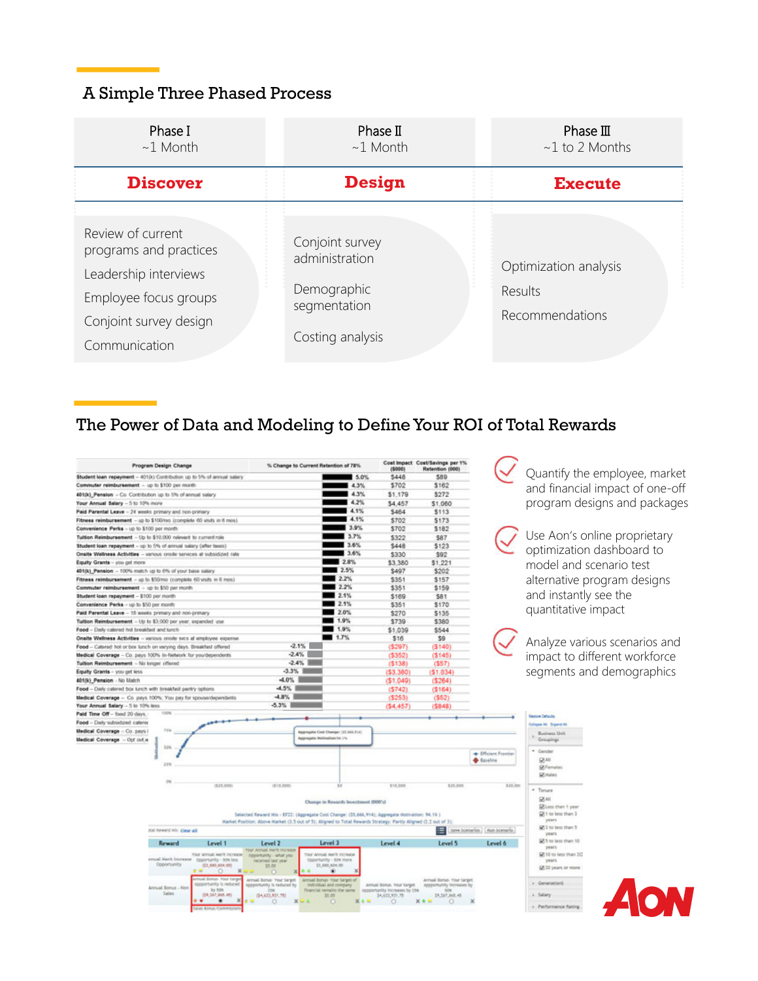# A Simple Three Phased Process

| Phase I<br>$\sim$ 1 Month                                                                                                                | Phase $II$<br>$~1$ Month                                                             | Phase $III$<br>$~1$ to 2 Months<br><b>Execute</b>   |  |  |
|------------------------------------------------------------------------------------------------------------------------------------------|--------------------------------------------------------------------------------------|-----------------------------------------------------|--|--|
| <b>Discover</b>                                                                                                                          | Design                                                                               |                                                     |  |  |
| Review of current<br>programs and practices<br>Leadership interviews<br>Employee focus groups<br>Conjoint survey design<br>Communication | Conjoint survey<br>administration<br>Demographic<br>segmentation<br>Costing analysis | Optimization analysis<br>Results<br>Recommendations |  |  |

# The Power of Data and Modeling to Define Your ROI of Total Rewards

| <b>Program Design Change</b>                                               | % Change to Current Retention of 78%                                                                            |                                                        | Cost Impact Cost/Savings per 1%<br>Retention (000)<br>(\$000) |                                                        |                               |                                |
|----------------------------------------------------------------------------|-----------------------------------------------------------------------------------------------------------------|--------------------------------------------------------|---------------------------------------------------------------|--------------------------------------------------------|-------------------------------|--------------------------------|
| Student loan repayment - 4010.) Contribution up to 5% of annual salary     |                                                                                                                 | $-5.0\%$                                               | \$448                                                         | \$89                                                   |                               | Quantify th                    |
| Commuter reimbursement - up to \$100 per month                             |                                                                                                                 | 4.3%                                                   | \$702                                                         | \$162                                                  |                               | and financ                     |
| 40100_Pension - Co. Contribution up to 5% of annual salary                 |                                                                                                                 | 4.3%                                                   | \$1,179                                                       | \$272                                                  |                               |                                |
| Your Annual Salary - 5 to 10% more                                         |                                                                                                                 | 4.2%                                                   | \$4,457                                                       | \$1,060                                                |                               | program d                      |
| Paid Parental Leave - 24 seeks primary and non-primary                     |                                                                                                                 | 4.1%                                                   | \$464                                                         | \$113                                                  |                               |                                |
| Fitness reimbursement - up to \$100mg (complete 60 ututs in 6 mos).        |                                                                                                                 | 4.1%                                                   | \$702                                                         | \$173                                                  |                               |                                |
| Convenience Perks - up to \$100 per month                                  |                                                                                                                 | 13.9%                                                  | \$702                                                         | \$182                                                  |                               |                                |
| Tuition Reimbursement - Up to \$10,000 relevant to current role            |                                                                                                                 | 3.7%                                                   | \$322                                                         | \$87                                                   |                               | Use Aon's                      |
| Student loan repayment - up to 5% of annual salary (after taxes)           |                                                                                                                 | 3.6%                                                   | \$448                                                         | \$123                                                  |                               |                                |
| Onside Wellness Activities - various craits services at subsidized rate    |                                                                                                                 | 3.6%                                                   | \$330                                                         | \$92                                                   |                               | optimizatio                    |
| Equity Grants - you get more                                               |                                                                                                                 | 2.8%                                                   | \$3,380                                                       | \$1,221                                                |                               | model and                      |
| 401(k) Pension - 100% match up to 6% of your base salary                   |                                                                                                                 | 2.5%                                                   | \$497                                                         | \$202                                                  |                               |                                |
| Fitness reimbursement - up to \$50 mo complete 60 yeshs in 6 mos).         |                                                                                                                 | 2.2%                                                   | \$351                                                         | \$157                                                  |                               | alternative                    |
| Commuter reimbursement - up to \$50 per month                              |                                                                                                                 | 2.2%                                                   | \$351                                                         | \$159                                                  |                               |                                |
| Student loan repayment - \$100 per month                                   |                                                                                                                 | 2.1%                                                   | \$169                                                         | \$81                                                   |                               | and instant                    |
| Convenience Perks - up to \$50 per month                                   |                                                                                                                 | 2.1%                                                   | \$351                                                         | \$170                                                  |                               |                                |
| Paid Perental Leave - 18 weeks primiry and non-primary                     |                                                                                                                 | 2.0%                                                   | \$270                                                         | \$135                                                  |                               | quantitativ                    |
| Tuition Reinbursement - Up to \$3,000 per year, expanded usa               |                                                                                                                 | 1.9%                                                   | \$739                                                         | \$380                                                  |                               |                                |
| Food - Daily calened hist broakfast and kinch                              |                                                                                                                 | 1.9%                                                   | \$1,039                                                       | \$544                                                  |                               |                                |
| Onalte Wellness Activities - various crisile svics af employee expense.    |                                                                                                                 | $-1.7%$                                                | \$16                                                          | \$9                                                    |                               |                                |
| Food - Catered hot or bes lunch on varying days. Breakfast offered         | $-2.1\%$                                                                                                        |                                                        | (5297)                                                        | (5140)                                                 |                               | Analyze va                     |
| Medical Coverage - Co. pays 500% in-Network for you/dependents             | $-2.4%$                                                                                                         |                                                        | (5352)                                                        | (5145)                                                 |                               | impact to o                    |
| Tuition Reimbursement - No kinger offered                                  | $-2.4%$                                                                                                         |                                                        | (5138)                                                        | (557)                                                  |                               |                                |
| Equity Grants - you get less                                               | $-3.3%$                                                                                                         |                                                        | (53.380)                                                      | (\$1,034)                                              |                               | segments a                     |
| 401(k) Pension - No Match                                                  | $-4.0\%$                                                                                                        |                                                        | (51,049)                                                      | (5264)                                                 |                               |                                |
| Food - Daily catered box lurch with breakfast partry options               | $-4.5\%$                                                                                                        |                                                        | (5742)                                                        | (5164)                                                 |                               |                                |
| Medical Coverage - Co. pays 100%; You pay for spousardependents            | $-4.8\%$                                                                                                        |                                                        | (5253)                                                        | (952)                                                  |                               |                                |
| Your Annual Salary - 5 to 10% limit                                        | $-5.3%$                                                                                                         |                                                        | (54, 457)                                                     | (5848)                                                 |                               |                                |
| 100%<br>Paid Time Off - fixed 20 days.                                     |                                                                                                                 |                                                        |                                                               |                                                        |                               | <b>Technology</b>              |
| Food - Dark subsideed caterol                                              |                                                                                                                 |                                                        |                                                               |                                                        |                               | Collages All Digenst All       |
| Medical Coverage - Co. pays:<br>74%                                        |                                                                                                                 | Appropria Cost Change: (31,666,914)                    |                                                               |                                                        |                               | <b>Business Unit</b>           |
| Medical Coverage - Opt out a                                               |                                                                                                                 | Appropria HollyWoot 34.7%                              |                                                               |                                                        |                               | Groupings                      |
| <b>SON</b>                                                                 |                                                                                                                 |                                                        |                                                               |                                                        |                               |                                |
|                                                                            |                                                                                                                 |                                                        |                                                               |                                                        | + (Weiers Frontier            | * Gender                       |
| 21%                                                                        |                                                                                                                 |                                                        |                                                               |                                                        | <b>Careline</b>               | 突相<br>St Females               |
|                                                                            |                                                                                                                 |                                                        |                                                               |                                                        |                               | <b>Situates</b>                |
| ON                                                                         |                                                                                                                 |                                                        |                                                               |                                                        |                               |                                |
| (520,000)                                                                  | (\$10,000)                                                                                                      | 13                                                     | \$10,000                                                      | \$20,000                                               | \$20,000                      | · Tenure                       |
|                                                                            |                                                                                                                 |                                                        |                                                               |                                                        |                               | 図相                             |
|                                                                            |                                                                                                                 | Change in Rewards Investment (DDD's)                   |                                                               |                                                        |                               | College than 1 year            |
|                                                                            | Selected Reward Mix - EF22: (Appregate Cost Change: (55,666,914); Appregate Motivation: 94.1% )                 |                                                        |                                                               |                                                        |                               | 5 1 to less than 3             |
|                                                                            | Market Position: Above Market (3.5 out of 5); Aligned to Total Rewards Strategy: Partly Aligned (2.2 out of 3); |                                                        |                                                               |                                                        |                               | years                          |
| stal forward info. Clear All                                               |                                                                                                                 |                                                        |                                                               |                                                        | Save Scenarios / Run Scenario | 573 to less than 5<br>years    |
| Level 1<br>Reward                                                          | Level 2                                                                                                         | Level 3                                                | Level 4                                                       | Level 5                                                | Level 6                       | 575 to less than 10            |
|                                                                            | <b>TOUT ANNUAL MATTE INCIDENCE</b>                                                                              |                                                        |                                                               |                                                        |                               | years.                         |
| Your Annual Merit Increase<br>evual Merit Increase copportunity - 50% less | opportunity - what you<br>received last year.                                                                   | Your Annual Merit Increase<br>Opportunity - 50% more   |                                                               |                                                        |                               | 57 10 to less than 20<br>years |
| Opportunity<br>(53,880,604,00)                                             | \$8.00                                                                                                          | \$3,880,604.00                                         |                                                               |                                                        |                               | GR 30 years or more            |
|                                                                            |                                                                                                                 | ۰                                                      |                                                               |                                                        |                               |                                |
| sual Bornat - Visur Larg<br>opportunity is reduced                         | Annual Bonus- Your target<br>spportunity is reduced by                                                          | Annual Sonus- Your target of<br>Individual and company | Annual Bonus, Your target                                     | Annual Sonus- Your target<br>responsivity increases by |                               | + GenerationS                  |
| Annual Bonus - Non<br>by 50%<br>Sales                                      |                                                                                                                 | financial remains the same                             | opportunity increases by 158                                  | future.                                                |                               |                                |
| (\$9,367,888.48)<br>٠<br>٠                                                 | (54,635,931,76)<br>O                                                                                            | 55.05<br>$\circ$                                       | 54,633,931.75<br>$\circ$                                      | \$9,367,865.45<br>O                                    |                               | a. Salary                      |
|                                                                            |                                                                                                                 |                                                        |                                                               |                                                        |                               | . Performance Rating           |

tify the employee, market nancial impact of one-off am designs and packages

on's online proprietary iization dashboard to l and scenario test ative program designs nstantly see the itative impact

ze various scenarios and tt to different workforce ents and demographics

less than 20